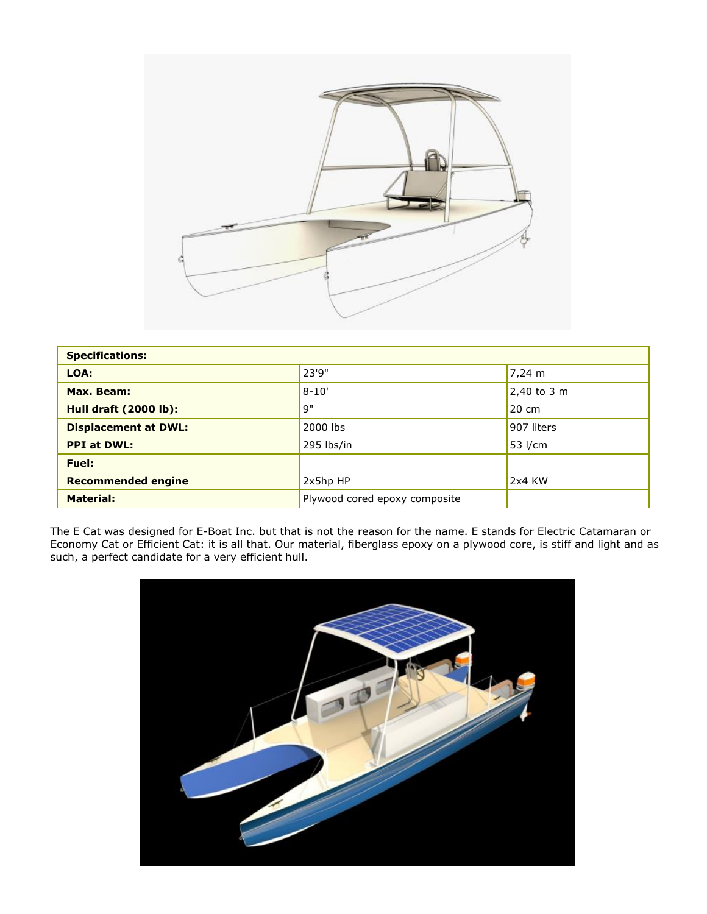

| <b>Specifications:</b>       |                               |               |
|------------------------------|-------------------------------|---------------|
| LOA:                         | 23'9"                         | 7,24 m        |
| Max. Beam:                   | $8 - 10'$                     | $2,40$ to 3 m |
| <b>Hull draft (2000 lb):</b> | 9"                            | 20 cm         |
| <b>Displacement at DWL:</b>  | 2000 lbs                      | 907 liters    |
| <b>PPI at DWL:</b>           | 295 lbs/in                    | ,53 l/cm      |
| Fuel:                        |                               |               |
| <b>Recommended engine</b>    | 2x5hp HP                      | 2x4 KW        |
| <b>Material:</b>             | Plywood cored epoxy composite |               |

The E Cat was designed for E-Boat Inc. but that is not the reason for the name. E stands for Electric Catamaran or Economy Cat or Efficient Cat: it is all that. Our material, fiberglass epoxy on a plywood core, is stiff and light and as such, a perfect candidate for a very efficient hull.

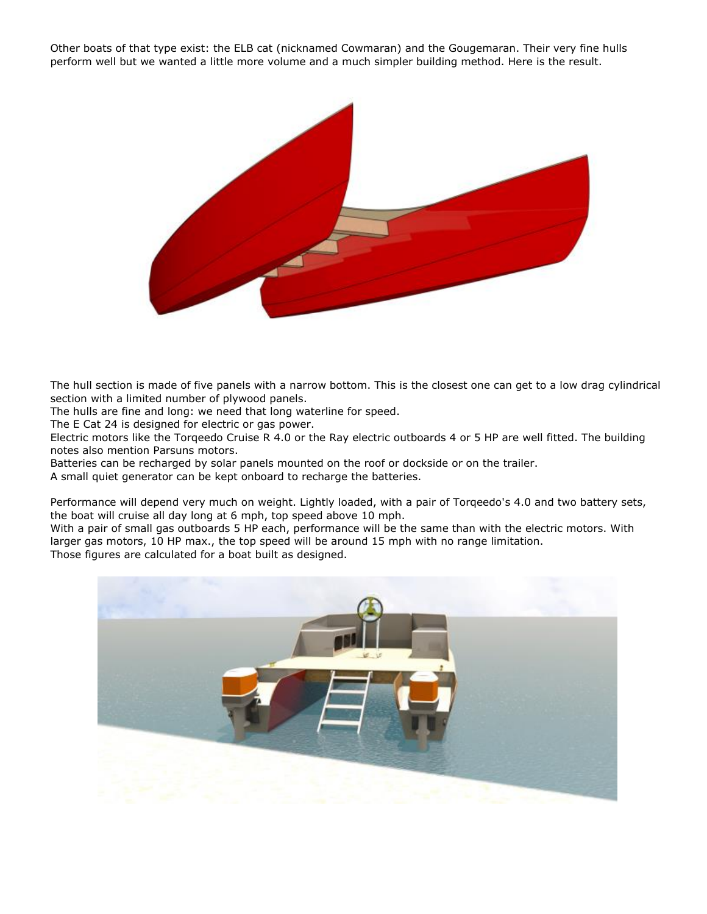Other boats of that type exist: the ELB cat (nicknamed Cowmaran) and the Gougemaran. Their very fine hulls perform well but we wanted a little more volume and a much simpler building method. Here is the result.



The hull section is made of five panels with a narrow bottom. This is the closest one can get to a low drag cylindrical section with a limited number of plywood panels.

The hulls are fine and long: we need that long waterline for speed.

The E Cat 24 is designed for electric or gas power.

Electric motors like the Torqeedo Cruise R 4.0 or the Ray electric outboards 4 or 5 HP are well fitted. The building notes also mention Parsuns motors.

Batteries can be recharged by solar panels mounted on the roof or dockside or on the trailer.

A small quiet generator can be kept onboard to recharge the batteries.

Performance will depend very much on weight. Lightly loaded, with a pair of Torqeedo's 4.0 and two battery sets, the boat will cruise all day long at 6 mph, top speed above 10 mph.

With a pair of small gas outboards 5 HP each, performance will be the same than with the electric motors. With larger gas motors, 10 HP max., the top speed will be around 15 mph with no range limitation. Those figures are calculated for a boat built as designed.

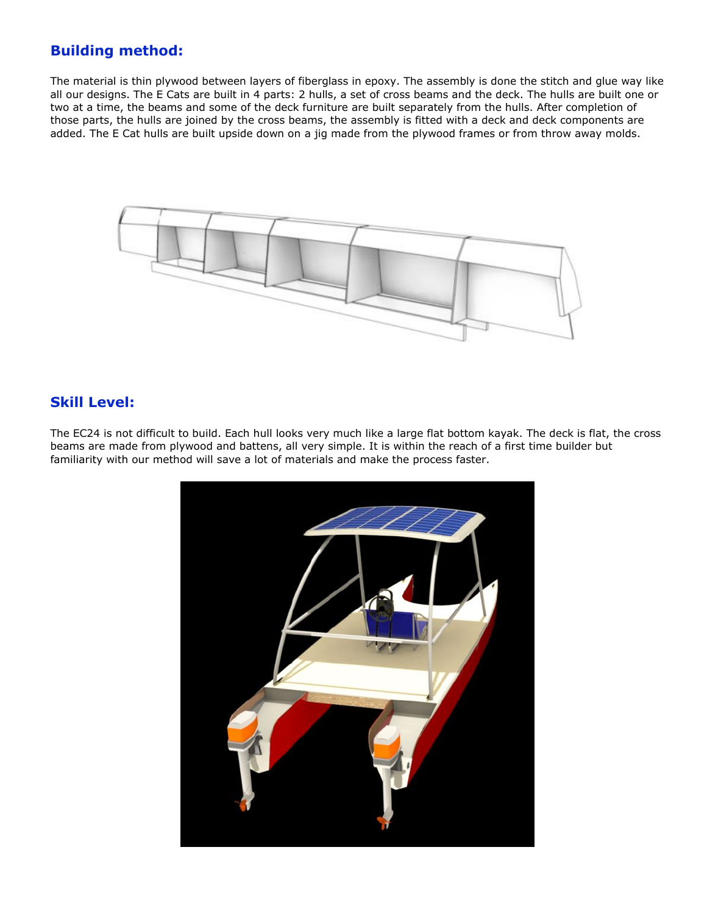# **Building method:**

The material is thin plywood between layers of fiberglass in epoxy. The assembly is done the stitch and glue way like all our designs. The E Cats are built in 4 parts: 2 hulls, a set of cross beams and the deck. The hulls are built one or two at a time, the beams and some of the deck furniture are built separately from the hulls. After completion of those parts, the hulls are joined by the cross beams, the assembly is fitted with a deck and deck components are added. The E Cat hulls are built upside down on a jig made from the plywood frames or from throw away molds.



## **Skill Level:**

The EC24 is not difficult to build. Each hull looks very much like a large flat bottom kayak. The deck is flat, the cross beams are made from plywood and battens, all very simple. It is within the reach of a first time builder but familiarity with our method will save a lot of materials and make the process faster.

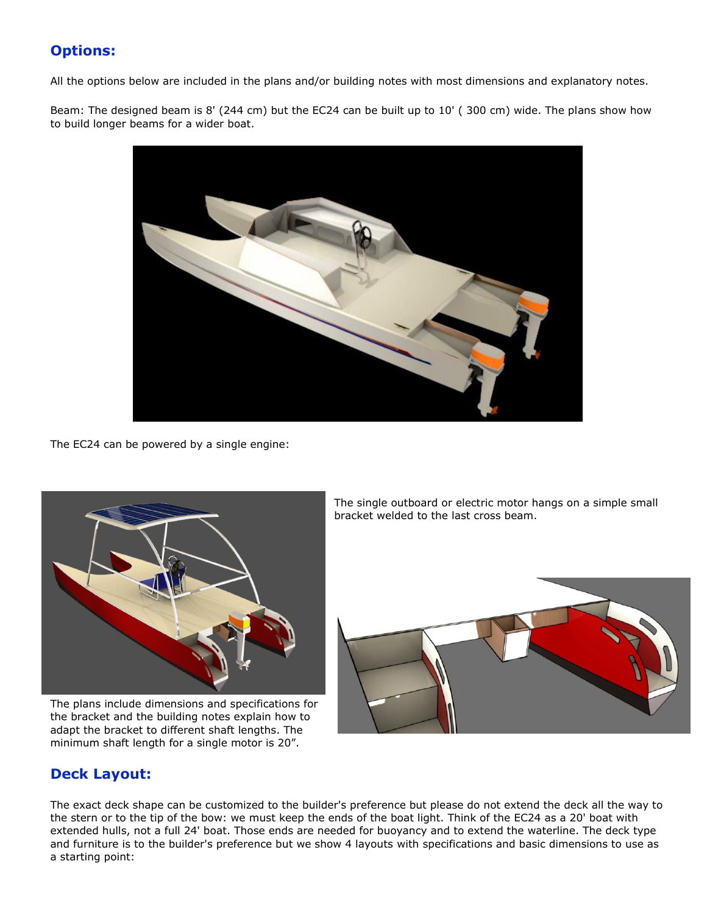# **Options:**

All the options below are included in the plans and/or building notes with most dimensions and explanatory notes.

Beam: The designed beam is 8' (244 cm) but the EC24 can be built up to 10' ( 300 cm) wide. The plans show how to build longer beams for a wider boat.



The EC24 can be powered by a single engine:



The plans include dimensions and specifications for the bracket and the building notes explain how to adapt the bracket to different shaft lengths. The minimum shaft length for a single motor is 20".

The single outboard or electric motor hangs on a simple small bracket welded to the last cross beam.



# **Deck Layout:**

The exact deck shape can be customized to the builder's preference but please do not extend the deck all the way to the stern or to the tip of the bow: we must keep the ends of the boat light. Think of the EC24 as a 20' boat with extended hulls, not a full 24' boat. Those ends are needed for buoyancy and to extend the waterline. The deck type and furniture is to the builder's preference but we show 4 layouts with specifications and basic dimensions to use as a starting point: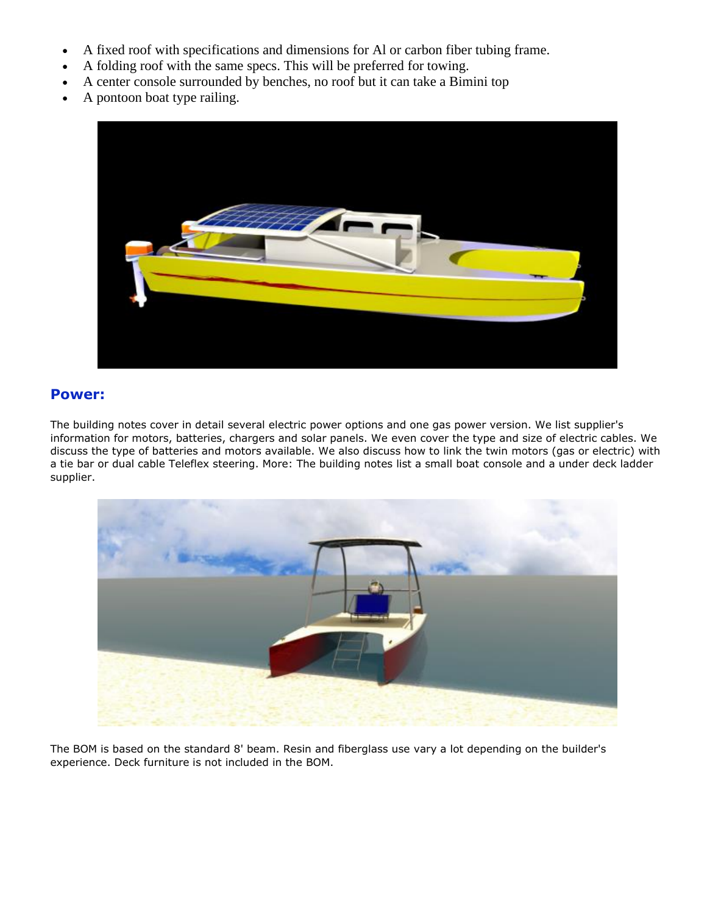- A fixed roof with specifications and dimensions for Al or carbon fiber tubing frame.
- A folding roof with the same specs. This will be preferred for towing.
- A center console surrounded by benches, no roof but it can take a Bimini top
- A pontoon boat type railing.



### **Power:**

The building notes cover in detail several electric power options and one gas power version. We list supplier's information for motors, batteries, chargers and solar panels. We even cover the type and size of electric cables. We discuss the type of batteries and motors available. We also discuss how to link the twin motors (gas or electric) with a tie bar or dual cable Teleflex steering. More: The building notes list a small boat console and a under deck ladder supplier.



The BOM is based on the standard 8' beam. Resin and fiberglass use vary a lot depending on the builder's experience. Deck furniture is not included in the BOM.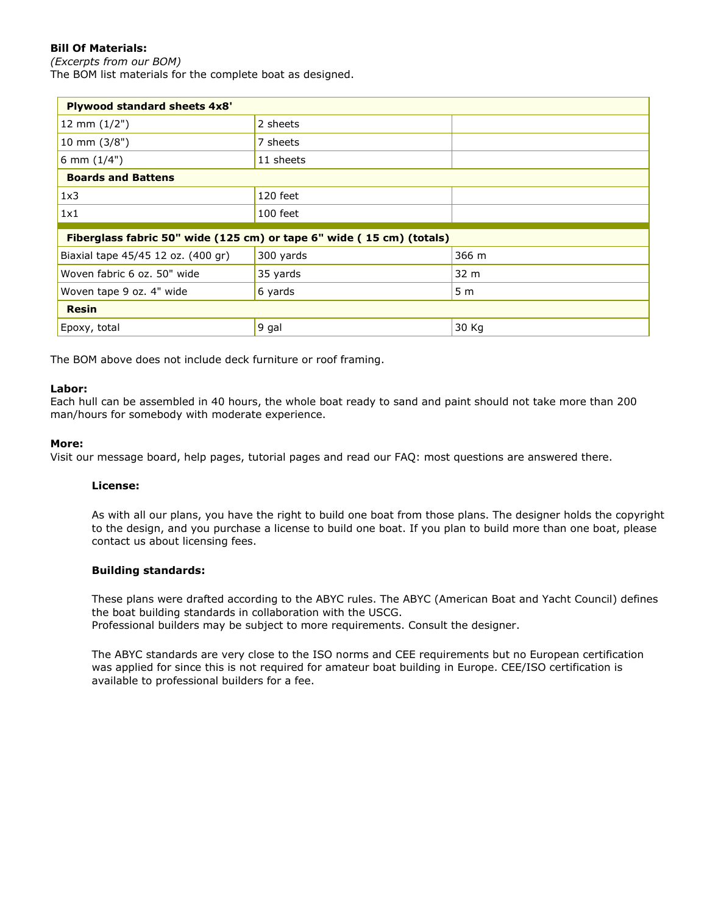### **Bill Of Materials:**

*(Excerpts from our BOM)* The BOM list materials for the complete boat as designed.

| <b>Plywood standard sheets 4x8'</b>                                  |           |                |  |
|----------------------------------------------------------------------|-----------|----------------|--|
| 12 mm $(1/2")$                                                       | 2 sheets  |                |  |
| 10 mm (3/8")                                                         | 7 sheets  |                |  |
| 6 mm $(1/4")$                                                        | 11 sheets |                |  |
| <b>Boards and Battens</b>                                            |           |                |  |
| 1x3                                                                  | 120 feet  |                |  |
| 1x1                                                                  | 100 feet  |                |  |
| Fiberglass fabric 50" wide (125 cm) or tape 6" wide (15 cm) (totals) |           |                |  |
| Biaxial tape 45/45 12 oz. (400 gr)                                   | 300 yards | 366 m          |  |
| Woven fabric 6 oz. 50" wide                                          | 35 yards  | 32 m           |  |
| Woven tape 9 oz. 4" wide                                             | 6 yards   | 5 <sub>m</sub> |  |
| <b>Resin</b>                                                         |           |                |  |
| Epoxy, total                                                         | 9 gal     | 30 Kg          |  |

The BOM above does not include deck furniture or roof framing.

#### **Labor:**

Each hull can be assembled in 40 hours, the whole boat ready to sand and paint should not take more than 200 man/hours for somebody with moderate experience.

#### **More:**

Visit our message board, help pages, tutorial pages and read our FAQ: most questions are answered there.

#### **License:**

As with all our plans, you have the right to build one boat from those plans. The designer holds the copyright to the design, and you purchase a license to build one boat. If you plan to build more than one boat, please contact us about licensing fees.

#### **Building standards:**

These plans were drafted according to the ABYC rules. The ABYC (American Boat and Yacht Council) defines the boat building standards in collaboration with the USCG. Professional builders may be subject to more requirements. Consult the designer.

The ABYC standards are very close to the ISO norms and CEE requirements but no European certification was applied for since this is not required for amateur boat building in Europe. CEE/ISO certification is available to professional builders for a fee.